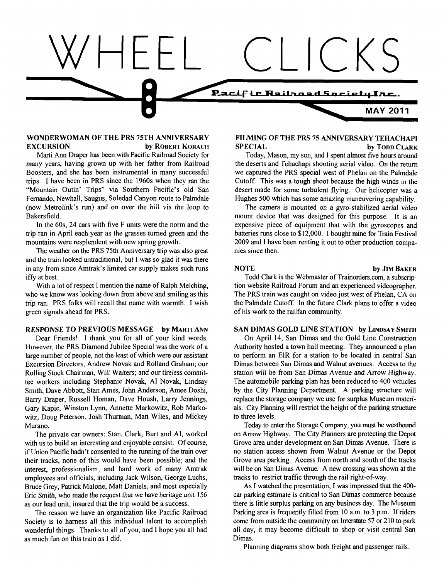

# **WONDERWOMAN OF THE PRS 75TH ANNIVERSARY EXCURSION** by ROBERT KORACH

Marti Ann Draper has been with Pacific Railroad Society for many years, having grown up with her father from Railroad Boosters, and she has been instrumental in many successful trips. I have been in PRS since the 1960s when they ran the "Mountain Outin' Trips" via Southern Pacific's old San Fernando, Newhall, Saugus, Soledad Canyon route to Palmdale (now Metrolink's run) and on over the hill via the loop to Bakersfield.

In the 60s, 24 cars with five F units were the norm and the trip ran in April each year as the grasses turned green and the mountains were resplendent with new spring growth.

The weather on the PRS 75th Anniversary trip was also great and the train looked untraditional, but 1 was so glad it was there in any from since Amtrak's limited car supply makes such runs iffy at best.

With a lot of respect I mention the name of Ralph Melching, who we know was looking down from above and smiling as this trip ran. PRS folks will recall that name with warmth. I wish green signals ahead for PRS.

#### **RESPONSE TO PREVIOUS MESSAGE by MARTI ANN**

Dear Friends! I thank you for all of your kind words. However, the PRS Diamond Jubilee Special was the work of a large number of people, not the least of which were our assistant Excursion Directors, Andrew Novak and Rolland Graham; our Rolling Stock Chairman, Will Walters; and our tireless committee workers including Stephanie Novak, A1 Novak, Lindsay Smith, Dave Abbott, Stan Ames, John Anderson, Amee Doshi, Bany Draper, Russell Homan, Dave Housh, Larry Jennings, Gary Kapic, Winston Lynn, Annette Markowitz, Rob Markowitz, Doug Peterson, Josh Thurman, Matt Wiles, and Mickey Murano.

The private car owners: Stan, Clark, Burt and Al, worked with us to build an interesting and enjoyable consist. Of course, if Union Pacific hadn't consented to the running of the train over their tracks, none of this would have been possible; and the interest, professionalism, and hard work of many Amtrak employees and officials, including Jack Wilson, George Luchs, Bruce Grey, Patrick Malone, Matt Daniels, and most especially Eric Smith, who made the request that we have heritage unit 156 as our lead unit, insured that the trip would be a success.

The reason we have an organization like Pacific Railroad Society is to harness all this individual talent to accomplish wonderful things. Thanks to all of you, and I hope you all had as much fun on this train as I did.

# **FILMING OF THE PRS 75 ANNIVERSARY TEHACHAPI SPECIAL** by TODD CLARK

Today, Mason, my son, and I spent almost five hours around the deserts and Tehachapi shooting aerial video. On the return we captured the PRS special west of Phelan on the Palmdale Cutoff. This was a tough shoot because the high winds in the desert made for some turbulent flying. Our helicopter was a Hughes 500 which has some amazing maneuvering capability.

The camera is mounted on a gyro-stabilized aerial video mount device that was designed for this purpose. It is an expensive piece of equipment that with the gyroscopes and batteries runs close to \$12,000. 1 bought mine for Train Festival 2009 and 1 have been renting it out to other production companies since then.

# **NOTE** by **JIM BAKER**

Todd Clark is the Webmaster of Trainorders.com, a subscrip tion website Railroad Forum and an experienced videographer. The PRS train was caught on video just west of Phelan, CA on the Palmdale Cutoff. In the future Clark plans to offer a video of his work to the railfan community.

#### **SAN DIMAS GOLD LINE STATION by LINDSAY SMITH**

On April 14, San Dimas and the Gold Line Construction Authority hosted a town hall meeting. They announced a plan to perform an ElR for a station to be located in central San Dimas between San Dirnas and Walnut avenues. Access to the station will be from San Dimas Avenue and Arrow Highway. The automobile parking plan has been reduced to 400 vehicles by the City Planning Department. A parking structure will replace the storage company we use for surplus Museum materials. City Planning will restrict the height of the parking structure to three levels.

Today to enter the Storage Company, you must be westbound on Arrow Highway. The City Planners are protecting the Depot Grove area under development on San Dimas Avenue. There is no station access shown from Walnut Avenue or the Depot Grove area parking. Access from north and south of the tracks will be on San Dimas Avenue. A new crossing was shown at the tracks to restrict traffic through the rail right-of-way.

As I watched the presentation, I was impressed that the 400 car parking estimate is critical to San Dimas commerce because there is little surplus parking on any business day. The Museum Parking area is frequently filled from 10 a.m. to **3** p.m. If riders come from outside the community on Interstate 57 or 210 to park all day, it may become difficult to shop or visit central San Dimas.

Planning diagrams show both freight and passenger rails.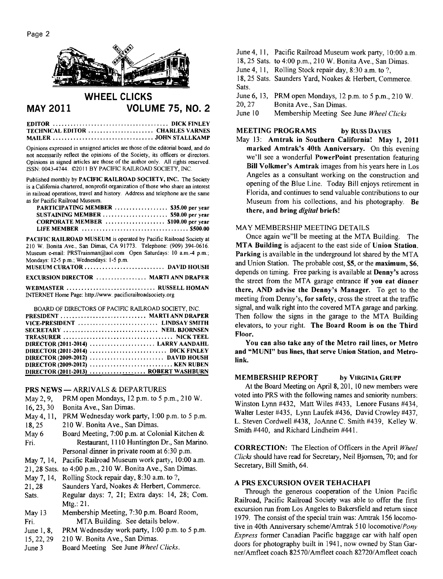

# **WHEEL CLICKS MAY 2011 VOLUME 75, NO. 2**

**EDITOR** ....................................... **DICKFINLEY TECHNICAL EDITOR** ...................... **CHARLES VARNES MAILER** .................................. **JOHNSTALLKAMP** 

Opinions expressed in unsigned articles are those of the editorial board, and do not necessarily reflect the opinions of the Society, its officers or directors. Opinions in signed articles are those of the author only. All rights reserved. ISSN: 0043-4744. 0201 1 BY PACIFIC RAILROAD SOCIETY, INC.

Published monthly by **PACIFIC RAILROAD SOCIETY, INC.** The Society is a California chartered, nonprofit organization of those who share an interest in railroad operations, travel and history. Address and telephone are the same as for Pacific Railroad Museum.

| PARTICIPATING MEMBER  \$35.00 per year |  |
|----------------------------------------|--|
| SUSTAINING MEMBER  \$50.00 per year    |  |
| CORPORATE MEMBER  \$100.00 per year    |  |
|                                        |  |

PACIFIC RAILROAD MUSEUM is operated by Pacific Railroad Society at 210 W. Bonita Ave., San Dimas, CA 91773. Telephone: (909) 394-0616. Museum e-mail: PRSTrainman@aol.com Open Saturdays: 10 a.m.-4 p.m.; Mondays: 12-5 p.m.; Wednesdays: 1-5 p.m.

| EXCURSION DIRECTOR  MARTI ANN DRAPER |  |
|--------------------------------------|--|

**WEBMASTER** .............................. **RUSSELL HOMAN**  INTERNET Home Page: http://www. pacificrailroadsociety.org

| BOARD OF DIRECTORS OF PACIFIC RAILROAD SOCIETY. INC. |  |
|------------------------------------------------------|--|
| PRESIDENT  MARTI ANN DRAPER                          |  |
|                                                      |  |
| SECRETARY  NEIL BJORNSEN                             |  |
|                                                      |  |
| DIRECTOR (2011-2014)  LARRY AANDAHL                  |  |
| DIRECTOR (2011-2014)  DICK FINLEY                    |  |
| DIRECTOR (2009-2012)  DAVID HOUSH                    |  |
|                                                      |  |
| DIRECTOR (2011-2013)  ROBERT WASHBURN                |  |

# **PRS NEWS** - ARRIVALS & DEPARTURES

| PRS NEWS — ARRIVALS & DEFARTURES |                                                           |  |  |
|----------------------------------|-----------------------------------------------------------|--|--|
| May 2, 9,                        | PRM open Mondays, 12 p.m. to 5 p.m., 210 W.               |  |  |
| 16, 23, 30                       | Bonita Ave., San Dimas.                                   |  |  |
| May 4, 11,                       | PRM Wednesday work party, 1:00 p.m. to 5 p.m.             |  |  |
| 18,25                            | 210 W. Bonita Ave., San Dimas.                            |  |  |
| May 6                            | Board Meeting, 7:00 p.m. at Colonial Kitchen &            |  |  |
| Fri.                             | Restaurant, 1110 Huntington Dr., San Marino.              |  |  |
|                                  | Personal dinner in private room at 6:30 p.m.              |  |  |
| May 7, 14,                       | Pacific Railroad Museum work party, 10:00 a.m.            |  |  |
|                                  | 21, 28 Sats. to 4:00 p.m., 210 W. Bonita Ave., San Dimas. |  |  |
| May 7, 14,                       | Rolling Stock repair day, 8:30 a.m. to ?,                 |  |  |
| 21, 28                           | Saunders Yard, Noakes & Herbert, Commerce.                |  |  |
| <b>Sats</b>                      | Regular days: 7, 21: Extra days: 14, 28: Com.             |  |  |

Sats. Regular days: 7, 21; Extra days: 14, 28; Com. Mtg.: 21.

- May 13 Membership Meeting, 7:30 p.m. Board Room, Fri. MTA Building. See details below.
- June 1, 8, PRM Wednesday work party, 1:00 p.m. to 5 p.m.
- 15,22,29 210 W. Bonita Ave., San Dimas.
- June 3 Board Meeting See June *Wheel Clicks.*
- June 4, 11, Pacific Railroad Museum work party, 10:00 a.m.
- 18,25 Sats. to 4:00 p.m., 2 10 W. Bonita Ave., San Dimas.
- June 4, 11, Rolling Stock repair day,  $8:30$  a.m. to ?.

18,25 Sats. Saunders Yard, Noakes & Herbert, Commerce. Sats.

June 6, 13, PRM open Mondays, 12 p.m. to 5 p.m., 210 W.<br>20, 27 Bonita Ave., San Dimas.

20, 27 Bonita Ave., San Dimas.<br>June 10 Membershin Meeting Se

Membership Meeting See June *Wheel Clicks* 

# **MEETING PROGRAMS** by RUSS DAVIES

May 13: **Amtrak in Southern California! May 1, 2011 marked Amtrak's 40th Anniversary.** On this evening we'll see a wonderful **Powerpoint** presentation featuring **Bill Volkmer's Amtrak** images from his years here in Los Angeles as a consultant working on the construction and opening of the Blue Line. Today Bill enjoys retirement in Florida, and continues to send valuable contributions to our Museum from his collections, and his photography. **Be there, and bring digital briefs!** 

#### MAY MEMBERSHIP MEETING DETAILS

Once again we"l1 be meeting at the MTA Building. The **MTA Building** is adjacent to the east side of **Union Station. Parking** is available in the underground lot shared by the MTA and Union Station. The probable cost, \$5, or the **maximum, \$6,**  depends on timing. Free parking is available at **Denny's** across the street from the MTA garage entrance **if you eat dinner there, AND advise the Denny's Manager.** To get to the meeting from Denny's, **for safety,** cross the street at the traffic signal, and walk right into the covered MTA garage and parking. Then follow the signs in the garage to the MTA Building elevators, to your right. **The Board Room is on the Third Floor.** 

**You can also take any of the Metro rail lines, or Metro and "MUNI" bus lines, that serve Union Station, and Metrolink.** 

# **MEMBERSHIP REPORT by VIRGINIA GRUPP**

At the Board Meeting on April 8,201, 10 new members were voted into PRS with the following names and seniority numbers: Winston Lynn #432, Matt Wiles #433, Lenore Fusans #434, Walter Lester #435, Lynn Laufek #436, David Crowley #437, L. Steven Cordwell #438, JoAnne C. Smith #439, Kelley W. Smith #440, and Richard Lindheim #44 1.

**CORRECTION:** The Election of Officers in the April *Wheel Clicks* should have read for Secretary, Neil Bjornsen, 70; and for Secretary, Bill Smith, 64.

### **A PRS EXCURSION OVER TEHACHAPI**

Through the generous cooperation of the Union Pacific Railroad, Pacific Railroad Society was able to offer the first excursion run from Los Angeles to Bakersfield and return since 1979. The consist of the special train was: Amtrak 156 locomotive in 40th Anniversary scheme/Amtrak 510 locomotive/Pony *Express* former Canadian Pacific baggage car with half open doors for photography built in 194 1, now owned by Stan Garner/Amfleet coach 82570/Amfleet coach 82720/Amfleet coach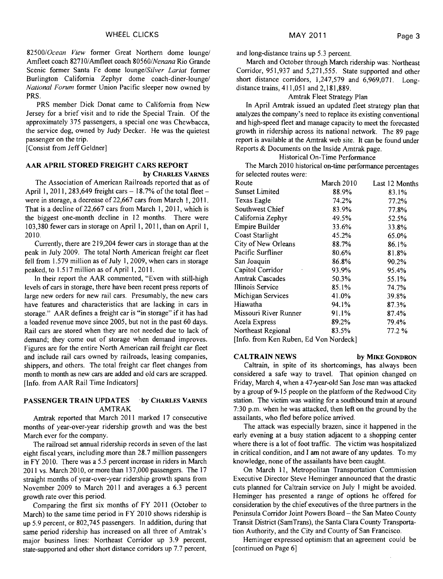82500/Ocean View former Great Northern dome lounge/ Amfleet coach 82710/Amfleet coach 80560/Nenana Rio Grande Scenic former Santa Fe dome lounge/Silver Lariat former Burlington California Zephyr dome coach-diner-lounge/ National Forum former Union Pacific sleeper now owned by PRS.

PRS member Dick Donat came to California from New Jersey for a brief visit and to ride the Special Train. Of the approximately 375 passengers, a special one was Chewbacca, the service dog, owned by Judy Decker. He was the quietest passenger on the trip.

[Consist from Jeff Geldner]

#### **AAR APRIL STORED FREIGHT CARS REPORT by CHARLES VARNES**

The Association of American Railroads reported that as of April 1, 2011, 283,649 freight cars  $-18.7\%$  of the total fleet  $$ were in storage, a decrease of 22,667 cars from March 1, 2011. That is a decline of 22,667 cars from March 1, 2011, which is the biggest one-month decline in 12 months. There were 103,380 fewer cars in storage on April I, 20 1 1, than on April I, 20 10.

Currently, there are 2 19,204 fewer cars in storage than at the peak in July 2009. The total North American freight car fleet fell from 1.579 million as of July I, 2009, when cars in storage peaked, to 1.517 million as of April 1, 2011.

In their report the AAR commented, "Even with still-high levels of cars in storage, there have been recent press reports of large new orders for new rail cars. Presumably, the new cars have features and characteristics that are lacking in cars in storage." AAR defines a freight car is "in storage" if it has had a loaded revenue move since 2005, but not in the past 60 days. Rail cars are stored when they are not needed due to lack of demand; they come out of storage when demand improves. Figures are for the entire North American rail freight car fleet and include rail cars owned by railroads, leasing companies, shippers, and others. The total freight car fleet changes from month to month as new cars are added and old cars are scrapped. [Info. from AAR Rail Time Indicators]

# **PASSENGER TRAIN UPDATES** . **by CHARLES VARNES**  AMTRAK

Amtrak reported that March 2011 marked 17 consecutive months of year-over-year ridership growth and was the best March ever for the company.

The railroad set annual ridership records in seven of the last eight fiscal years, including more than 28.7 million passengers in FY 2010. There was a 5.5 percent increase in riders in March 2011 vs. March 2010, or more than 137,000 passengers. The 17 straight months of year-over-year ridership growth spans from November 2009 to March 2011 and averages a 6.3 percent growth rate over this period.

Comparing the first six months of FY 2011 (October to March) to the same time period in FY 2010 shows ridership is up 5.9 percent, or 802,745 passengers. In addition, during that same period ridership has increased on all three of Amtrak's major business lines: Northeast Corridor up 3.9 percent, state-supported and other short distance corridors up 7.7 percent,

and long-distance trains up 5.3 percent.

March and October through March ridership was: Northeast Corridor, 951,937 and 5,271,555. State supported and other short distance corridors,  $1,247,579$  and  $6,969,071$ . Longdistance trains, 411,051 and 2,181,889.

#### Amtrak Fleet Strategy Plan

In April Amtrak issued an updated fleet strategy plan that analyzes the company's need to replace its existing conventional and high-speed fleet and manage capacity to meet the forecasted growth in ridership across its national network. The 89 page report is available at the Arntrak web site. It can be found under Reports & Documents on the Inside Amtrak page.

Historical On-Time Performance

The March 2010 historical on-time performance percentages for selected routes were:

| Route                                      | March 2010 | Last 12 Months |
|--------------------------------------------|------------|----------------|
| Sunset Limited                             | 88.9%      | 83.1%          |
| Texas Eagle                                | 74.2%      | 77.2%          |
| Southwest Chief                            | 83.9%      | 77.8%          |
| California Zephyr                          | 49.5%      | 52.5%          |
| Empire Builder                             | 33.6%      | 33.8%          |
| Coast Starlight                            | 45.2%      | 65.0%          |
| City of New Orleans                        | 88.7%      | 86.1%          |
| Pacific Surfliner                          | 80.6%      | 81.8%          |
| San Joaquin                                | 86.8%      | 90.2%          |
| Capitol Corridor                           | 93.9%      | 95.4%          |
| <b>Amtrak Cascades</b>                     | 50.3%      | 55.1%          |
| Illinois Service                           | 85.1%      | 74.7%          |
| Michigan Services                          | 41.0%      | 39.8%          |
| Hiawatha                                   | 94.1%      | 87.3%          |
| Missouri River Runner                      | 91.1%      | 87.4%          |
| Acela Express                              | 89.2%      | 79.4%          |
| Northeast Regional                         | 83.5%      | 77.2 %         |
| $Un$ fo, from $Von$ Dukon, Ed Von Mondool. |            |                |

[Info. from Ken Ruben, Ed Von Nordeck]

#### **CALTRAIN NEWS** by MIKE GONDRON

Caltrain, in spite of its shortcomings, has always been considered a safe way to travel. That opinion changed on Friday, March 4, when a 47-year-old San Jose man was attacked by a group of 9-15 people on the platform of the Redwood City station. The victim was waiting for a southbound train at around 7:30 p.m. when he was attacked, then left on the ground by the assailants, who fled before police arrived.

The attack was especially brazen, since it happened in the early evening at a busy station adjacent to a shopping center where there is a lot of foot traffic. The victim was hospitalized in critical condition, and I am not aware of any updates. To my knowledge, none of the assailants have been caught.

On March 11, Metropolitan Transportation Commission Executive Director Steve Heminger announced that the drastic cuts planned for Caltrain service on July 1 might be avoided. Heminger has presented a range of options he offered for consideration by the chief executives of the three partners in the Peninsula Corridor Joint Powers Board - the San Mateo County Transit District (SamTrans), the Santa Clara County Transportation Authority, and the City and County of San Francisco.

Heminger expressed optimism that an agreement could be [continued on Page 6]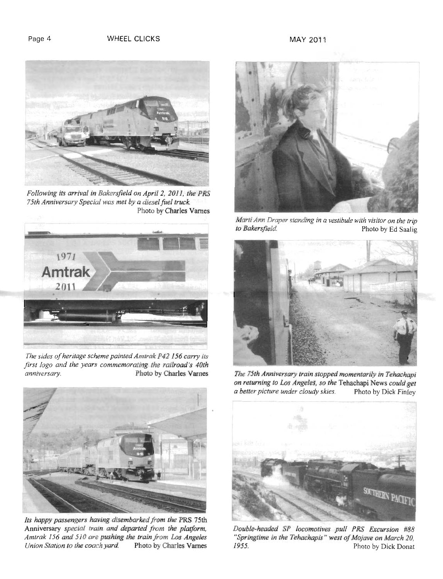

*Following its arrival in Bakrrsfield on April 2, 201* 1, *the PRS 75th Anniversary Special was met by a diesel fuel truck.*  Photo by Charles Varnes



*The sides of heritage scheme painted Amtrak P42 156 cmv its first logo and the years commemorating the railroad's 40th anniversary.* Photo by Charles Varnes *anniversary.* Photo *by* Charles Varnes



Its happy passengers having disembarked from the PRS 75th Anniversary *special train and departed from the platform, Amtrak 156 and 510 are pushing the train from Los Angeles Union Station to the coach yard.* 



*Marti Ann Draper standing in a vestibule with visitor on the trip to Bakersfield.* Photo by Ed Saalig **Photo by Ed Saalig** 



The 75th Anniversary train stopped momentarily in Tehachapi *on returning to Los Angeles, so the* Tehachapi News *could get a better picture under cloudy skies.* Photo *by* Dick Finley



*Double-headed SF locomotives pull PRS Excursion #88 "Springtime in the Tehachapis* " *west oj'Mojave on March 20,*  Photo by Dick Donat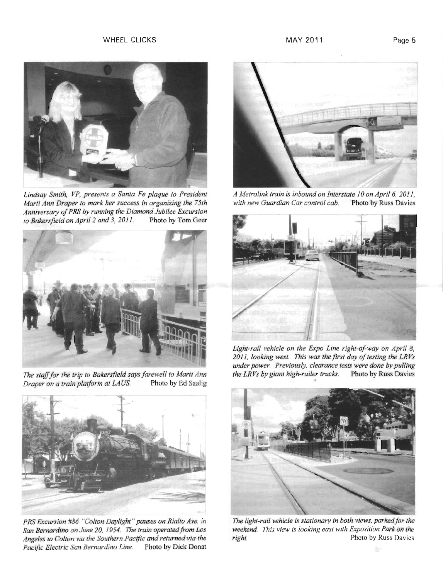

*Marti Ann Draper to mark her success in organizing the 75th Anniversary of PRS by running the Diamond Jubilee Excursion to Bakersfield on April 2 and 3, 2011.* Photo by Tom Geer to Bakersfield on April 2 and 3, 2011.



*The staff for the trip to Bakersfield says farewell to Marti Ann Draper on a train platform at LAUS.* Photo by Ed Saalig *Draper on a train platform at LAUS.* 



*San Bernardino on June 20, 1954. The train operated from Los* weekend. This view is looking east with Exposition Park on the *Angeles to Colton via the Southern Pacific and returned via the right. Photo by Russ Davies* Angeles to Colton via the Southern Pacific and returned via the *Pacific Electric San Bernurdino Line.* Photo by Dick Donat



*Lindsay Smith, VP, presents a Santa Fe plaque to President* A Metrolink train is inbound on Interstate 10 on April 6, 2011, <br>Marti Ann Draper to mark her success in organizing the 75th with new Guardian Car control cab.



Light-rail vehicle on the Expo Line right-of-way on April 8, *2011, looking west. This was the first day of testing the LRVs under power. Previously, clearance tests were done by pulling* 



*PRS Excursion #86 "Colton Daylight" pauses on Rialto Ave. in The light-rail vehicle is stationary in both views, parkedfor the*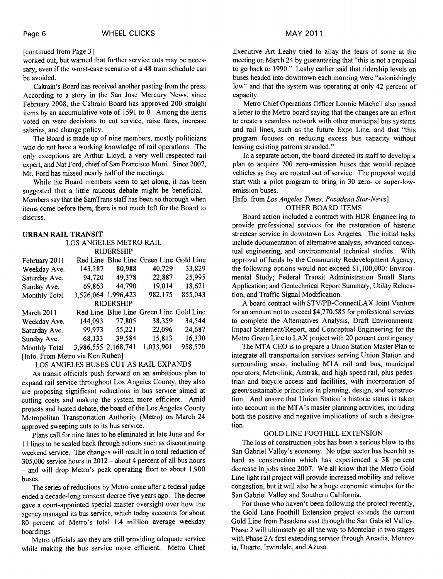#### [continued from Page **31**

worked out, but warned that further service cuts may be necessary, even if the worst-case scenario of a **48** train schedule can be avoided.

Caltrain's Board has received another pasting from the press. According to a story in the San Jose Mercury News, since February **2008,** the Caltrain Board has approved **200** straight items by an accumulative vote of **1591** to **0.** Among the items voted on were decisions to cut service, raise fares, increase salaries, and change policy.

The Board is made up of nine members, mostly politicians who do not have a working knowledge of rail operations. The only exceptions are Arthur Lloyd, a very well respected rail expert, and Nat Ford, chief of San Francisco Muni. Since **2007,**  Mr. Ford has missed nearly half of the meetings.

While the Board members seem to get along, it has been suggested that a little raucous debate might be beneficial. Members say that the SamTrans staff has been so thorough when items come before them, there is not much left for the Board to discuss.

#### **URBAN RAIL TRANSIT**

#### LOS ANGELES METRO RAIL RIDERSHIP

| February 2011        |                     |        | Red Line Blue Line Green Line Gold Line |         |  |  |
|----------------------|---------------------|--------|-----------------------------------------|---------|--|--|
| Weekday Ave.         | 143,387             | 80,988 | 40,729                                  | 33,829  |  |  |
| Saturday Ave.        | 94,720              | 49,378 | 22,887                                  | 25,995  |  |  |
| Sunday Ave.          | 69,863              | 44,790 | 19,014                                  | 18,621  |  |  |
| <b>Monthly Total</b> | 3,526,064 1,996,423 |        | 982,175                                 | 855,043 |  |  |
| <b>RIDERSHIP</b>     |                     |        |                                         |         |  |  |
|                      |                     |        |                                         |         |  |  |
| March 2011           |                     |        | Red Line Blue Line Green Line Gold Line |         |  |  |
| Weekday Ave.         | 144,093             | 77,805 | 38,359                                  | 34,544  |  |  |
| Saturday Ave.        | 99,973              | 55,221 | 22,096                                  | 24,687  |  |  |
| Sunday Ave.          | 68,133              | 39.584 | 15,813                                  | 16,330  |  |  |
| <b>Monthly Total</b> | 3,986,555 2,168,741 |        | 1,033,901                               | 958,570 |  |  |

### LOS ANGELES BUSES CUT AS RAIL EXPANDS

As transit officials push forward on an ambitious plan to expand rail service throughout Los Angeles County, they also are proposing significant reductions in bus service aimed at cutting costs and making the system more efficient. Amid protests and heated debate, the board of the Los Angeles County Metropolitan Transportation Authority (Metro) on March **24**  approved sweeping cuts to its bus service.

Plans call for nine lines to be eliminated in late June and for 11 lines to be scaled back through actions such as discontinuing weekend service. The changes will result in a total reduction of **305,000** service hours in **<sup>2012</sup>**- about **4** percent of all bus hours - and will drop Metro's peak operating fleet to about **1,900**  buses.

The series of reductions by Metro come after a federal judge ended a decade-long consent decree five years ago. The decree gave a court-appointed special master oversight over how the agency managed its bus service, which today accounts for about **80** percent of Metro's total **1.4** million average weekday boardings.

Metro officials say they are still providing adequate service while making the bus service more efficient. Metro Chief

Executive Art Leahy tried to allay the fears of some at the meeting on March **24** by guaranteeing that "this is not a proposal to go back to **1990."** Leahy earlier said that ridership levels on buses headed into downtown each morning were "astonishingly low" and that the system was operating at only **42** percent of capacity.

Metro Chief Operations Officer Lonnie Mitchell also issued a letter to the Metro board saying that the changes are an effort to create a seamless network with other municipal bus systems and rail lines, such as the future Expo Line, and that "this program focuses on reducing excess bus capacity without leaving existing patrons stranded."

In a separate action, the board directed its staff to develop a plan to acquire **700** zero-emission buses that would replace vehicles as they are rotated out of service. The proposal would start with a pilot program to bring in **30** zero- or super-lowemission buses.

### [Info. from Los Angeles Times, Pasadena Star-News] OTHER BOARD ITEMS

Board action included a contract with HDR Engineering to provide professional services for the restoration of historic streetcar service in downtown Los Angeles. The initial tasks include documentation of alternative analysis, advanced conceptual engineering, and environmental technical studies. With approval of funds by the Community Redevelopment Agency, the following options would not exceed **\$1,100,000:** Environmental Study; Federal Transit Administration Small Starts Application; and Geotechnical Report Summary, Utility Relocation, and Traffic Signal Modification.

A board contract with STVIPB-ConnectLAX Joint Venture for an amount not to exceed **\$4,770,585** for professional services to complete the Alternatives Analysis, Draft Environmental Impact Statement/Report, and Conceptual Engineering for the Metro Green Line to LAX project with **20** percent contingency.

The MTA CEO is to prepare a Union Station Master Plan to integrate all transportation services serving Union Station and surrounding areas, including MTA rail and bus, municipal operators, Metrolink, Amtrak, and high speed rail, plus pedestrian and bicycle access and facilities, with incorporation of green/sustainable principles in planning, design, and construction. And ensure that Union Station's historic status is taken into account in the MTA's master planning activities, including both the positive and negative implications of such a designation.

# GOLD LINE FOOTHILL EXTENSION

The loss of construction jobs has been a serious blow to the San Gabriel Valley's economy. No other sector has been hit as hard as construction which has experienced a **38** percent decrease in jobs since **2007.** We all know that the Metro Gold Line light rail project will provide increased mobility and relieve congestion, but it will also be a huge economic stimulus for the San Gabriel Valley and Southern California.

For those who haven't been following the project recently, the Gold Line Foothill Extension project extends the current Gold Line from Pasadena east through the San Gabriel Valley. Phase **2** will ultimately go all the way to Montclair in two stages with Phase 2A first extending service through Arcadia, Monrov ia, Duarte, Irwindale, and Azusa.